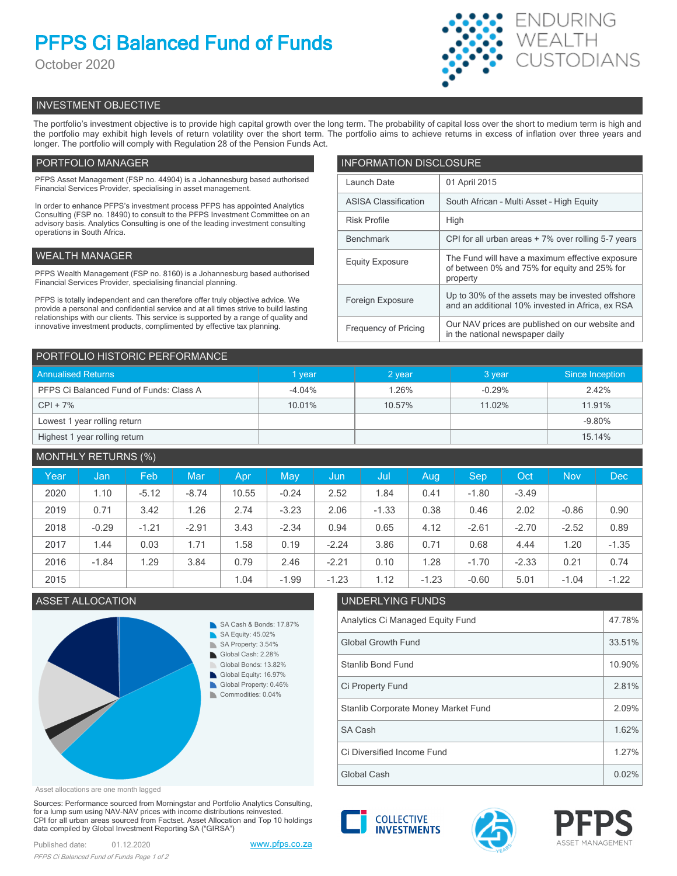# **PFPS Ci Balanced Fund of Funds**

October 2020



# INVESTMENT OBJECTIVE

The portfolio's investment objective is to provide high capital growth over the long term. The probability of capital loss over the short to medium term is high and the portfolio may exhibit high levels of return volatility over the short term. The portfolio aims to achieve returns in excess of inflation over three years and longer. The portfolio will comply with Regulation 28 of the Pension Funds Act.

# PORTFOLIO MANAGER

PFPS Asset Management (FSP no. 44904) is a Johannesburg based authorised Financial Services Provider, specialising in asset management.

In order to enhance PFPS's investment process PFPS has appointed Analytics Consulting (FSP no. 18490) to consult to the PFPS Investment Committee on an advisory basis. Analytics Consulting is one of the leading investment consulting operations in South Africa.

# WEALTH MANAGER

PFPS Wealth Management (FSP no. 8160) is a Johannesburg based authorised Financial Services Provider, specialising financial planning.

PFPS is totally independent and can therefore offer truly objective advice. We provide a personal and confidential service and at all times strive to build lasting relationships with our clients. This service is supported by a range of quality and innovative investment products, complimented by effective tax planning.

| <b>INFORMATION DISCLOSURE</b> |                                                                                                             |  |  |  |
|-------------------------------|-------------------------------------------------------------------------------------------------------------|--|--|--|
| Launch Date                   | 01 April 2015                                                                                               |  |  |  |
| <b>ASISA Classification</b>   | South African - Multi Asset - High Equity                                                                   |  |  |  |
| <b>Risk Profile</b>           | High                                                                                                        |  |  |  |
| <b>Benchmark</b>              | CPI for all urban areas + 7% over rolling 5-7 years                                                         |  |  |  |
| <b>Equity Exposure</b>        | The Fund will have a maximum effective exposure<br>of between 0% and 75% for equity and 25% for<br>property |  |  |  |
| Foreign Exposure              | Up to 30% of the assets may be invested offshore<br>and an additional 10% invested in Africa, ex RSA        |  |  |  |
| <b>Frequency of Pricing</b>   | Our NAV prices are published on our website and<br>in the national newspaper daily                          |  |  |  |

| PORTFOLIO HISTORIC PERFORMANCE          |           |        |          |                 |  |  |
|-----------------------------------------|-----------|--------|----------|-----------------|--|--|
| <b>Annualised Returns</b>               | vear      | 2 year | 3 year   | Since Inception |  |  |
| PFPS Ci Balanced Fund of Funds: Class A | $-4.04\%$ | 1.26%  | $-0.29%$ | 2.42%           |  |  |
| $CPI + 7%$                              | 10.01%    | 10.57% | 11.02%   | 11.91%          |  |  |
| Lowest 1 year rolling return            |           |        |          | $-9.80%$        |  |  |
| Highest 1 year rolling return           |           |        |          | 15.14%          |  |  |

| <b>MONTHLY RETURNS (%)</b> |         |         |         |       |         |         |         |         |         |            |            |         |
|----------------------------|---------|---------|---------|-------|---------|---------|---------|---------|---------|------------|------------|---------|
| Year                       | Jan     | Feb     | Mar     | Apr   | May     | Jun     | Jul     | Aug     | Sep     | <b>Oct</b> | <b>Nov</b> | Dec.    |
| 2020                       | 1.10    | $-5.12$ | $-8.74$ | 10.55 | $-0.24$ | 2.52    | 1.84    | 0.41    | $-1.80$ | $-3.49$    |            |         |
| 2019                       | 0.71    | 3.42    | 1.26    | 2.74  | $-3.23$ | 2.06    | $-1.33$ | 0.38    | 0.46    | 2.02       | $-0.86$    | 0.90    |
| 2018                       | $-0.29$ | $-1.21$ | $-2.91$ | 3.43  | $-2.34$ | 0.94    | 0.65    | 4.12    | $-2.61$ | $-2.70$    | $-2.52$    | 0.89    |
| 2017                       | 1.44    | 0.03    | 1.71    | 1.58  | 0.19    | $-2.24$ | 3.86    | 0.71    | 0.68    | 4.44       | 1.20       | $-1.35$ |
| 2016                       | $-1.84$ | 1.29    | 3.84    | 0.79  | 2.46    | $-2.21$ | 0.10    | 1.28    | $-1.70$ | $-2.33$    | 0.21       | 0.74    |
| 2015                       |         |         |         | 1.04  | $-1.99$ | $-1.23$ | 1.12    | $-1.23$ | $-0.60$ | 5.01       | $-1.04$    | $-1.22$ |

# ASSET ALLOCATION UNDERLYING FUNDS



| Analytics Ci Managed Equity Fund    |        |  |
|-------------------------------------|--------|--|
| <b>Global Growth Fund</b>           | 33.51% |  |
| Stanlib Bond Fund                   | 10.90% |  |
| Ci Property Fund                    | 2.81%  |  |
| Stanlib Corporate Money Market Fund |        |  |
| SA Cash                             | 1.62%  |  |
| Ci Diversified Income Fund          | 1.27%  |  |
| Global Cash                         |        |  |

Asset allocations are one month lagged

Sources: Performance sourced from Morningstar and Portfolio Analytics Consulting, for a lump sum using NAV-NAV prices with income distributions reinvested. CPI for all urban areas sourced from Factset. Asset Allocation and Top 10 holdings data compiled by Global Investment Reporting SA ("GIRSA")

Published date: 01.12.2020 [www.pfps.co.za](https://www.pfps.co.za/) *PFPS Ci Balanced Fund of Funds Page 1 of 2*